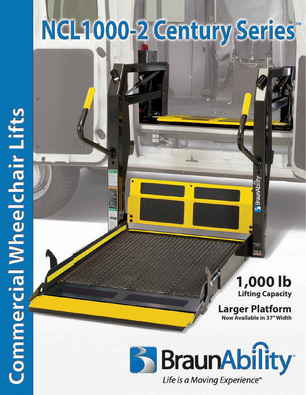## NCL1000-2 Century Series

**1,000 lb Lifting Capacity**

**BraunAbility** 

**WADE IN** 

## **Larger Platform Now Available in 37" Width**